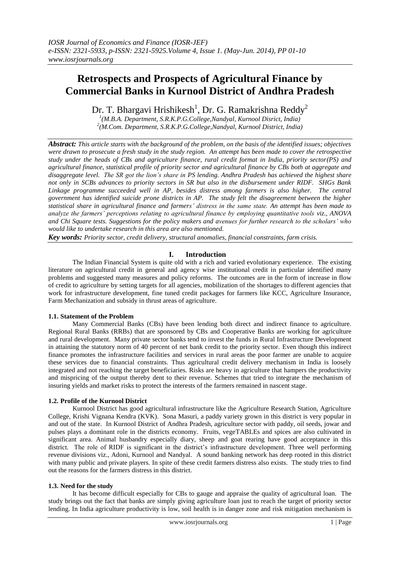# **Retrospects and Prospects of Agricultural Finance by Commercial Banks in Kurnool District of Andhra Pradesh**

Dr. T. Bhargavi Hrishikesh<sup>1</sup>, Dr. G. Ramakrishna Reddy<sup>2</sup>

*1 (M.B.A. Department, S.R.K.P.G.College,Nandyal, Kurnool Disrict, India) 2 (M.Com. Department, S.R.K.P.G.College,Nandyal, Kurnool District, India)*

*Abstract: This article starts with the background of the problem, on the basis of the identified issues; objectives were drawn to prosecute a fresh study in the study region. An attempt has been made to cover the retrospective study under the heads of CBs and agriculture finance, rural credit format in India, priority sector(PS) and agricultural finance, statistical profile of priority sector and agricultural finance by CBs both at aggregate and disaggregate level. The SR got the lion's share in PS lending. Andhra Pradesh has achieved the highest share not only in SCBs advances to priority sectors in SR but also in the disbursement under RIDF. SHGs Bank Linkage programme succeeded well in AP, besides distress among farmers is also higher. The central government has identified suicide prone districts in AP. The study felt the disagreement between the higher statistical share in agricultural finance and farmers' distress in the same state. An attempt has been made to analyze the farmers' perceptions relating to agricultural finance by employing quantitative tools viz., ANOVA and Chi Square tests. Suggestions for the policy makers and avenues for further research to the scholars' who would like to undertake research in this area are also mentioned.*

*Key words: Priority sector, credit delivery, structural anomalies, financial constraints, farm crisis.*

# **I. Introduction**

The Indian Financial System is quite old with a rich and varied evolutionary experience. The existing literature on agricultural credit in general and agency wise institutional credit in particular identified many problems and suggested many measures and policy reforms. The outcomes are in the form of increase in flow of credit to agriculture by setting targets for all agencies, mobilization of the shortages to different agencies that work for infrastructure development, fine tuned credit packages for farmers like KCC, Agriculture Insurance, Farm Mechanization and subsidy in thrust areas of agriculture.

# **1.1. Statement of the Problem**

Many Commercial Banks (CBs) have been lending both direct and indirect finance to agriculture. Regional Rural Banks (RRBs) that are sponsored by CBs and Cooperative Banks are working for agriculture and rural development. Many private sector banks tend to invest the funds in Rural Infrastructure Development in attaining the statutory norm of 40 percent of net bank credit to the priority sector. Even though this indirect finance promotes the infrastructure facilities and services in rural areas the poor farmer are unable to acquire these services due to financial constraints. Thus agricultural credit delivery mechanism in India is loosely integrated and not reaching the target beneficiaries. Risks are heavy in agriculture that hampers the productivity and mispricing of the output thereby dent to their revenue. Schemes that tried to integrate the mechanism of insuring yields and market risks to protect the interests of the farmers remained in nascent stage.

#### **1.2. Profile of the Kurnool District**

Kurnool District has good agricultural infrastructure like the Agriculture Research Station, Agriculture College, Krishi Vignana Kendra (KVK). Sona Masuri, a paddy variety grown in this district is very popular in and out of the state. In Kurnool District of Andhra Pradesh, agriculture sector with paddy, oil seeds, jowar and pulses plays a dominant role in the districts economy. Fruits, vegeTABLEs and spices are also cultivated in significant area. Animal husbandry especially diary, sheep and goat rearing have good acceptance in this district. The role of RIDF is significant in the district's infrastructure development. Three well performing revenue divisions viz., Adoni, Kurnool and Nandyal. A sound banking network has deep rooted in this district with many public and private players. In spite of these credit farmers distress also exists. The study tries to find out the reasons for the farmers distress in this district.

#### **1.3. Need for the study**

It has become difficult especially for CBs to gauge and appraise the quality of agricultural loan. The study brings out the fact that banks are simply giving agriculture loan just to reach the target of priority sector lending. In India agriculture productivity is low, soil health is in danger zone and risk mitigation mechanism is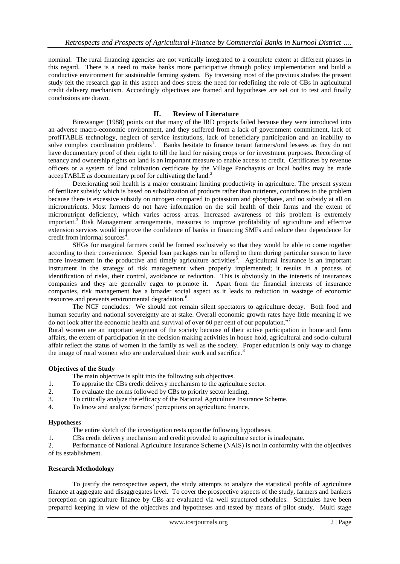nominal. The rural financing agencies are not vertically integrated to a complete extent at different phases in this regard. There is a need to make banks more participative through policy implementation and build a conductive environment for sustainable farming system. By traversing most of the previous studies the present study felt the research gap in this aspect and does stress the need for redefining the role of CBs in agricultural credit delivery mechanism. Accordingly objectives are framed and hypotheses are set out to test and finally conclusions are drawn.

# **II. Review of Literature**

Binswanger (1988) points out that many of the IRD projects failed because they were introduced into an adverse macro-economic environment, and they suffered from a lack of government commitment, lack of profiTABLE technology, neglect of service institutions, lack of beneficiary participation and an inability to solve complex coordination problems<sup>1</sup>. Banks hesitate to finance tenant farmers/oral lessees as they do not have documentary proof of their right to till the land for raising crops or for investment purposes. Recording of tenancy and ownership rights on land is an important measure to enable access to credit. Certificates by revenue officers or a system of land cultivation certificate by the Village Panchayats or local bodies may be made  $acceptTABLE$  as documentary proof for cultivating the land.<sup>2</sup>

Deteriorating soil health is a major constraint limiting productivity in agriculture. The present system of fertilizer subsidy which is based on subsidization of products rather than nutrients, contributes to the problem because there is excessive subsidy on nitrogen compared to potassium and phosphates, and no subsidy at all on micronutrients. Most farmers do not have information on the soil health of their farms and the extent of micronutrient deficiency, which varies across areas. Increased awareness of this problem is extremely important.<sup>3</sup> Risk Management arrangements, measures to improve profitability of agriculture and effective extension services would improve the confidence of banks in financing SMFs and reduce their dependence for credit from informal sources<sup> $4$ </sup>.

SHGs for marginal farmers could be formed exclusively so that they would be able to come together according to their convenience. Special loan packages can be offered to them during particular season to have more investment in the productive and timely agriculture activities<sup>5</sup>. Agricultural insurance is an important instrument in the strategy of risk management when properly implemented; it results in a process of identification of risks, their control, avoidance or reduction. This is obviously in the interests of insurances companies and they are generally eager to promote it. Apart from the financial interests of insurance companies, risk management has a broader social aspect as it leads to reduction in wastage of economic resources and prevents environmental degradation.<sup>6</sup>.

The NCF concludes: We should not remain silent spectators to agriculture decay. Both food and human security and national sovereignty are at stake. Overall economic growth rates have little meaning if we do not look after the economic health and survival of over 60 per cent of our population."

Rural women are an important segment of the society because of their active participation in home and farm affairs, the extent of participation in the decision making activities in house hold, agricultural and socio-cultural affair reflect the status of women in the family as well as the society. Proper education is only way to change the image of rural women who are undervalued their work and sacrifice.<sup>8</sup>

# **Objectives of the Study**

The main objective is split into the following sub objectives.

- 1. To appraise the CBs credit delivery mechanism to the agriculture sector.
- 2. To evaluate the norms followed by CBs to priority sector lending.
- 3. To critically analyze the efficacy of the National Agriculture Insurance Scheme.
- 4. To know and analyze farmers" perceptions on agriculture finance.

# **Hypotheses**

The entire sketch of the investigation rests upon the following hypotheses.

1. CBs credit delivery mechanism and credit provided to agriculture sector is inadequate.

2. Performance of National Agriculture Insurance Scheme (NAIS) is not in conformity with the objectives of its establishment.

# **Research Methodology**

To justify the retrospective aspect, the study attempts to analyze the statistical profile of agriculture finance at aggregate and disaggregates level. To cover the prospective aspects of the study, farmers and bankers perception on agriculture finance by CBs are evaluated via well structured schedules. Schedules have been prepared keeping in view of the objectives and hypotheses and tested by means of pilot study. Multi stage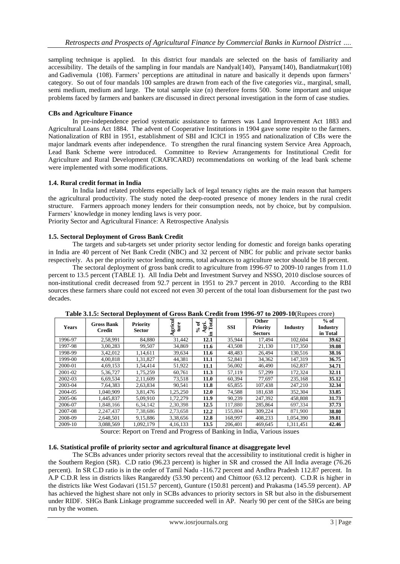sampling technique is applied. In this district four mandals are selected on the basis of familiarity and accessibility. The details of the sampling in four mandals are Nandyal(140), Panyam(140), Bandiatmakur(108) and Gadivemula (108). Farmers" perceptions are attitudinal in nature and basically it depends upon farmers" category. So out of four mandals 100 samples are drawn from each of the five categories viz., marginal, small, semi medium, medium and large. The total sample size (n) therefore forms 500. Some important and unique problems faced by farmers and bankers are discussed in direct personal investigation in the form of case studies.

# **CBs and Agriculture Finance**

In pre-independence period systematic assistance to farmers was Land Improvement Act 1883 and Agricultural Loans Act 1884. The advent of Cooperative Institutions in 1904 gave some respite to the farmers. Nationalization of RBI in 1951, establishment of SBI and ICICI in 1955 and nationalization of CBs were the major landmark events after independence. To strengthen the rural financing system Service Area Approach, Lead Bank Scheme were introduced. Committee to Review Arrangements for Institutional Credit for Agriculture and Rural Development (CRAFICARD) recommendations on working of the lead bank scheme were implemented with some modifications.

## **1.4. Rural credit format in India**

In India land related problems especially lack of legal tenancy rights are the main reason that hampers the agricultural productivity. The study noted the deep-rooted presence of money lenders in the rural credit structure. Farmers approach money lenders for their consumption needs, not by choice, but by compulsion. Farmers' knowledge in money lending laws is very poor.

Priority Sector and Agricultural Finance: A Retrospective Analysis

## **1.5. Sectoral Deployment of Gross Bank Credit**

The targets and sub-targets set under priority sector lending for domestic and foreign banks operating in India are 40 percent of Net Bank Credit (NBC) and 32 percent of NBC for public and private sector banks respectively. As per the priority sector lending norms, total advances to agriculture sector should be 18 percent.

The sectoral deployment of gross bank credit to agriculture from 1996-97 to 2009-10 ranges from 11.0 percent to 13.5 percent (TABLE 1). All India Debt and Investment Survey and NSSO, 2010 disclose sources of non-institutional credit decreased from 92.7 percent in 1951 to 29.7 percent in 2010. According to the RBI sources these farmers share could not exceed not even 30 percent of the total loan disbursement for the past two decades.

| <b>Years</b> | <b>Gross Bank</b><br>Credit | <b>Priority</b><br><b>Sector</b> | gricul   | otal<br>ัธ<br>Ę.<br>⊢<br>వి<br>.Ξ | <b>SSI</b> | Other<br><b>Priority</b><br><b>Sectors</b> | Industry  | $%$ of<br><b>Industry</b><br>in Total |
|--------------|-----------------------------|----------------------------------|----------|-----------------------------------|------------|--------------------------------------------|-----------|---------------------------------------|
| 1996-97      | 2,58,991                    | 84,880                           | 31,442   | 12.1                              | 35,944     | 17,494                                     | 102,604   | 39.62                                 |
| 1997-98      | 3,00,283                    | 99,507                           | 34,869   | 11.6                              | 43,508     | 21,130                                     | 117,350   | 39.08                                 |
| 1998-99      | 3,42,012                    | 1.14.611                         | 39,634   | 11.6                              | 48,483     | 26,494                                     | 130.516   | 38.16                                 |
| 1999-00      | 4,00,818                    | 1,31,827                         | 44,381   | 11.1                              | 52,841     | 34,362                                     | 147,319   | 36.75                                 |
| 2000-01      | 4,69,153                    | 1,54,414                         | 51,922   | 11.1                              | 56,002     | 46,490                                     | 162,837   | 34.71                                 |
| 2001-02      | 5,36,727                    | 1,75,259                         | 60,761   | 11.3                              | 57,119     | 57,299                                     | 172,324   | 32.11                                 |
| 2002-03      | 6,69,534                    | 2,11,609                         | 73,518   | 11.0                              | 60,394     | 77,697                                     | 235,168   | 35.12                                 |
| 2003-04      | 7,64,383                    | 2,63,834                         | 90,541   | 11.8                              | 65,855     | 107.438                                    | 247.210   | 32.34                                 |
| 2004-05      | 1.040.909                   | 3,81,476                         | 1,25,250 | 12.0                              | 74,588     | 181,638                                    | 352,304   | 33.85                                 |
| 2005-06      | 1,445,837                   | 5,09,910                         | 1,72,279 | 11.9                              | 90,239     | 247,392                                    | 458,808   | 31.73                                 |
| 2006-07      | 1.848.166                   | 6, 34, 142                       | 2,30,398 | 12.5                              | 117,880    | 285,864                                    | 697,334   | 37.73                                 |
| 2007-08      | 2,247,437                   | 7,38,686                         | 2,73,658 | 12.2                              | 155,804    | 309,224                                    | 871,900   | 38.80                                 |
| 2008-09      | 2,648,501                   | 9,15,886                         | 3,38,656 | 12.8                              | 168,997    | 408,233                                    | 1.054.390 | 39.81                                 |
| 2009-10      | 3.088.569                   | 1.092.179                        | 4.16.133 | 13.5                              | 206.401    | 469.645                                    | 1,311,451 | 42.46                                 |

**Table 3.1.5: Sectoral Deployment of Gross Bank Credit from 1996-97 to 2009-10**(Rupees crore)

Source: Report on Trend and Progress of Banking in India, Various issues

#### **1.6. Statistical profile of priority sector and agricultural finance at disaggregate level**

The SCBs advances under priority sectors reveal that the accessibility to institutional credit is higher in the Southern Region (SR). C.D ratio (96.23 percent) is higher in SR and crossed the All India average (76.26 percent). In SR C.D ratio is in the order of Tamil Nadu -116.72 percent and Andhra Pradesh 112.87 percent. In A.P C.D.R less in districts likes Rangareddy (53.90 percent) and Chittoor (63.12 percent). C.D.R is higher in the districts like West Godavari (151.57 percent), Gunture (150.81 percent) and Prakasma (145.59 percent). AP has achieved the highest share not only in SCBs advances to priority sectors in SR but also in the disbursement under RIDF. SHGs Bank Linkage programme succeeded well in AP. Nearly 90 per cent of the SHGs are being run by the women.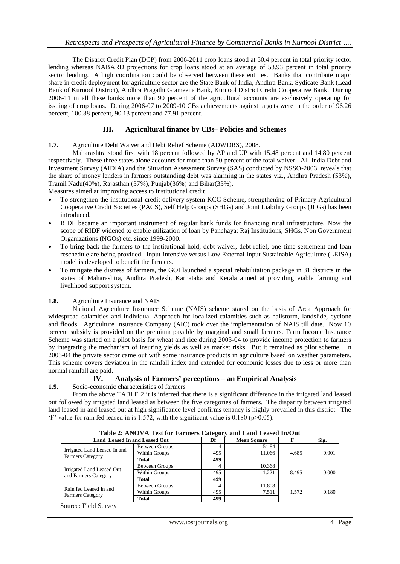The District Credit Plan (DCP) from 2006-2011 crop loans stood at 50.4 percent in total priority sector lending whereas NABARD projections for crop loans stood at an average of 53.93 percent in total priority sector lending. A high coordination could be observed between these entities. Banks that contribute major share in credit deployment for agriculture sector are the State Bank of India, Andhra Bank, Sydicate Bank (Lead Bank of Kurnool District), Andhra Pragathi Grameena Bank, Kurnool District Credit Cooperative Bank. During 2006-11 in all these banks more than 90 percent of the agricultural accounts are exclusively operating for issuing of crop loans. During 2006-07 to 2009-10 CBs achievements against targets were in the order of 96.26 percent, 100.38 percent, 90.13 percent and 77.91 percent.

# **III. Agricultural finance by CBs– Policies and Schemes**

## **1.7.** Agriculture Debt Waiver and Debt Relief Scheme (ADWDRS), 2008.

Maharashtra stood first with 18 percent followed by AP and UP with 15.48 percent and 14.80 percent respectively. These three states alone accounts for more than 50 percent of the total waiver. All-India Debt and Investment Survey (AIDIA) and the Situation Assessment Survey (SAS) conducted by NSSO-2003, reveals that the share of money lenders in farmers outstanding debt was alarming in the states viz., Andhra Pradesh (53%), Tramil Nadu(40%), Rajasthan (37%), Punjab(36%) and Bihar(33%).

Measures aimed at improving access to institutional credit

- To strengthen the institutional credit delivery system KCC Scheme, strengthening of Primary Agricultural Cooperative Credit Societies (PACS), Self Help Groups (SHGs) and Joint Liability Groups (JLGs) has been introduced.
- RIDF became an important instrument of regular bank funds for financing rural infrastructure. Now the scope of RIDF widened to enable utilization of loan by Panchayat Raj Institutions, SHGs, Non Government Organizations (NGOs) etc, since 1999-2000.
- To bring back the farmers to the institutional hold, debt waiver, debt relief, one-time settlement and loan reschedule are being provided. Input-intensive versus Low External Input Sustainable Agriculture (LEISA) model is developed to benefit the farmers.
- To mitigate the distress of farmers, the GOI launched a special rehabilitation package in 31 districts in the states of Maharashtra, Andhra Pradesh, Karnataka and Kerala aimed at providing viable farming and livelihood support system.

#### **1.8.** Agriculture Insurance and NAIS

National Agriculture Insurance Scheme (NAIS) scheme stared on the basis of Area Approach for widespread calamities and Individual Approach for localized calamities such as hailstorm, landslide, cyclone and floods. Agriculture Insurance Company (AIC) took over the implementation of NAIS till date. Now 10 percent subsidy is provided on the premium payable by marginal and small farmers. Farm Income Insurance Scheme was started on a pilot basis for wheat and rice during 2003-04 to provide income protection to farmers by integrating the mechanism of insuring yields as well as market risks. But it remained as pilot scheme. In 2003-04 the private sector came out with some insurance products in agriculture based on weather parameters. This scheme covers deviation in the rainfall index and extended for economic losses due to less or more than normal rainfall are paid.

# **IV. Analysis of Farmers' perceptions – an Empirical Analysis**

**1.9.** Socio-economic characteristics of farmers

From the above TABLE 2 it is inferred that there is a significant difference in the irrigated land leased out followed by irrigated land leased as between the five categories of farmers. The disparity between irrigated land leased in and leased out at high significance level confirms tenancy is highly prevailed in this district. The "F" value for rain fed leased in is 1.572, with the significant value is  $0.180$  (p $>0.05$ ).

| Table 2: ANOVA Test for Farmers Category and Land Leased In/Out |                |     |                    |       |       |
|-----------------------------------------------------------------|----------------|-----|--------------------|-------|-------|
| <b>Land Leased In and Leased Out</b>                            |                | Df  | <b>Mean Square</b> |       | Sig.  |
|                                                                 | Between Groups |     | 51.84              |       |       |
| Irrigated Land Leased In and<br><b>Farmers Category</b>         | Within Groups  | 495 | 11.066             | 4.685 | 0.001 |
|                                                                 | Total          | 499 |                    |       |       |
|                                                                 | Between Groups |     | 10.368             |       |       |
| Irrigated Land Leased Out<br>and Farmers Category               | Within Groups  | 495 | 1.221              | 8.495 | 0.000 |
|                                                                 | Total          | 499 |                    |       |       |
| Rain fed Leased In and                                          | Between Groups |     | 11.808             |       |       |
| <b>Farmers Category</b>                                         | Within Groups  | 495 | 7.511              | 1.572 | 0.180 |
|                                                                 | Total          | 499 |                    |       |       |

**Table 2: ANOVA Test for Farmers Category and Land Leased In/Out**

Source: Field Survey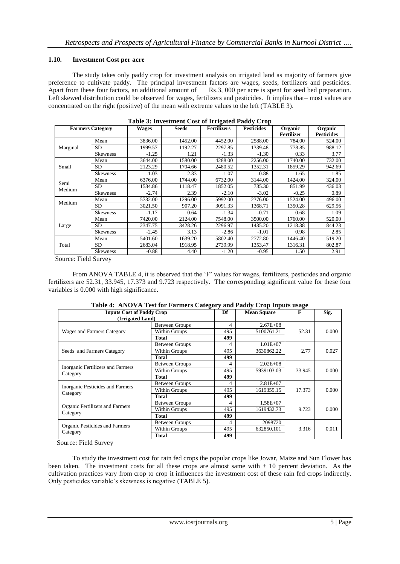## **1.10. Investment Cost per acre**

The study takes only paddy crop for investment analysis on irrigated land as majority of farmers give preference to cultivate paddy. The principal investment factors are wages, seeds, fertilizers and pesticides. Apart from these four factors, an additional amount of Rs.3, 000 per acre is spent for seed bed preparation. Left skewed distribution could be observed for wages, fertilizers and pesticides. It implies that– most values are concentrated on the right (positive) of the mean with extreme values to the left (TABLE 3).

|                |                         |              | Table 5: Investment Cost of Iffigated I addy Crop |                    |                   |                              |                              |
|----------------|-------------------------|--------------|---------------------------------------------------|--------------------|-------------------|------------------------------|------------------------------|
|                | <b>Farmers Category</b> | <b>Wages</b> | Seeds                                             | <b>Fertilizers</b> | <b>Pesticides</b> | Organic<br><b>Fertilizer</b> | Organic<br><b>Pesticides</b> |
|                | Mean                    | 3836.00      | 1452.00                                           | 4452.00            | 2588.00           | 784.00                       | 524.00                       |
| Marginal       | SD.                     | 1999.57      | 1192.27                                           | 2297.85            | 1339.48           | 778.85                       | 988.12                       |
|                | <b>Skewness</b>         | $-1.25$      | 1.21                                              | $-1.33$            | $-1.30$           | 0.33                         | 3.77                         |
|                | Mean                    | 3644.00      | 1580.00                                           | 4288.00            | 2256.00           | 1740.00                      | 732.00                       |
| Small          | <b>SD</b>               | 2123.29      | 1704.66                                           | 2480.52            | 1352.31           | 1859.29                      | 942.69                       |
|                | <b>Skewness</b>         | $-1.03$      | 2.33                                              | $-1.07$            | $-0.88$           | 1.65                         | 1.85                         |
|                | Mean                    | 6376.00      | 1744.00                                           | 6732.00            | 3144.00           | 1424.00                      | 324.00                       |
| Semi<br>Medium | SD.                     | 1534.86      | 1118.47                                           | 1852.05            | 735.30            | 851.99                       | 436.03                       |
|                | <b>Skewness</b>         | $-2.74$      | 2.39                                              | $-2.10$            | $-3.02$           | $-0.25$                      | 0.89                         |
|                | Mean                    | 5732.00      | 1296.00                                           | 5992.00            | 2376.00           | 1524.00                      | 496.00                       |
| Medium         | <b>SD</b>               | 3021.50      | 907.20                                            | 3091.33            | 1368.71           | 1350.28                      | 629.56                       |
|                | <b>Skewness</b>         | $-1.17$      | 0.64                                              | $-1.34$            | $-0.71$           | 0.68                         | 1.09                         |
|                | Mean                    | 7420.00      | 2124.00                                           | 7548.00            | 3500.00           | 1760.00                      | 520.00                       |
| Large          | <b>SD</b>               | 2347.75      | 3428.26                                           | 2296.97            | 1435.20           | 1218.38                      | 844.23                       |
|                | <b>Skewness</b>         | $-2.45$      | 3.13                                              | $-2.86$            | $-1.01$           | 0.98                         | 2.85                         |
|                | Mean                    | 5401.60      | 1639.20                                           | 5802.40            | 2772.80           | 1446.40                      | 519.20                       |
| Total          | SD.                     | 2683.04      | 1918.95                                           | 2739.99            | 1353.47           | 1316.31                      | 802.87                       |
|                | <b>Skewness</b>         | $-0.88$      | 4.40                                              | $-1.20$            | $-0.95$           | 1.50                         | 2.91                         |

#### **Table 3: Investment Cost of Irrigated Paddy Crop**

Source: Field Survey

From ANOVA TABLE 4, it is observed that the 'F' values for wages, fertilizers, pesticides and organic fertilizers are 52.31, 33.945, 17.373 and 9.723 respectively. The corresponding significant value for these four variables is 0.000 with high significance.

| <b>Inputs Cost of Paddy Crop</b>  | Table 7. Alto VA Test for Partners Category and Faugy Crop Hiputs usage | Df  | <b>Mean Square</b> | F      | Sig.  |
|-----------------------------------|-------------------------------------------------------------------------|-----|--------------------|--------|-------|
| (Irrigated Land)                  |                                                                         |     |                    |        |       |
|                                   |                                                                         |     |                    |        |       |
|                                   | <b>Between Groups</b>                                                   | 4   | $2.67E + 08$       |        |       |
| Wages and Farmers Category        | Within Groups                                                           | 495 | 5100761.21         | 52.31  | 0.000 |
|                                   | Total                                                                   | 499 |                    |        |       |
|                                   | <b>Between Groups</b>                                                   | 4   | $1.01E + 07$       |        |       |
| Seeds and Farmers Category        | Within Groups                                                           | 495 | 3630862.22         | 2.77   | 0.027 |
|                                   | <b>Total</b>                                                            | 499 |                    |        |       |
|                                   | <b>Between Groups</b>                                                   | 4   | $2.02E + 08$       |        |       |
| Inorganic Fertilizers and Farmers | Within Groups                                                           | 495 | 5939103.03         | 33.945 | 0.000 |
| Category                          | Total                                                                   | 499 |                    |        |       |
| Inorganic Pesticides and Farmers  | <b>Between Groups</b>                                                   | 4   | $2.81E + 07$       |        |       |
| Category                          | Within Groups                                                           | 495 | 1619355.15         | 17.373 | 0.000 |
|                                   | Total                                                                   | 499 |                    |        |       |
|                                   | <b>Between Groups</b>                                                   | 4   | $1.58E + 07$       |        |       |
| Organic Fertilizers and Farmers   | Within Groups                                                           | 495 | 1619432.73         | 9.723  | 0.000 |
| Category                          | Total                                                                   | 499 |                    |        |       |
|                                   | <b>Between Groups</b>                                                   | 4   | 2098720            |        |       |
| Organic Pesticides and Farmers    | Within Groups                                                           | 495 | 632850.101         | 3.316  | 0.011 |
| Category                          | Total                                                                   | 499 |                    |        |       |

#### **Table 4: ANOVA Test for Farmers Category and Paddy Crop Inputs usage**

Source: Field Survey

To study the investment cost for rain fed crops the popular crops like Jowar, Maize and Sun Flower has been taken. The investment costs for all these crops are almost same with  $\pm 10$  percent deviation. As the cultivation practices vary from crop to crop it influences the investment cost of these rain fed crops indirectly. Only pesticides variable"s skewness is negative (TABLE 5).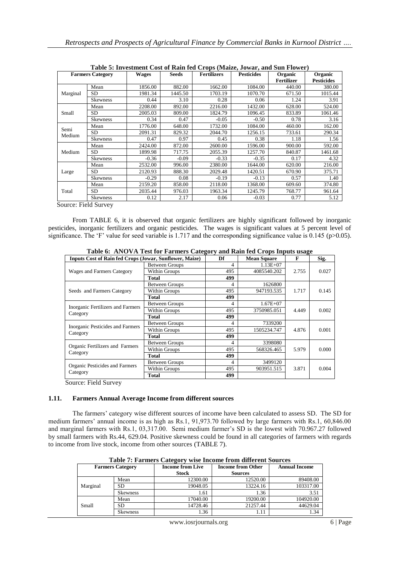|                | <b>Farmers Category</b> | <b>Wages</b> | <b>Seeds</b> | <b>Fertilizers</b> | <b>Pesticides</b> | Organic<br><b>Fertilizer</b> | Organic<br><b>Pesticides</b> |
|----------------|-------------------------|--------------|--------------|--------------------|-------------------|------------------------------|------------------------------|
|                | Mean                    | 1856.00      | 882.00       | 1662.00            | 1084.00           | 440.00                       | 380.00                       |
| Marginal       | SD                      | 1981.34      | 1445.50      | 1703.19            | 1070.70           | 671.50                       | 1015.44                      |
|                | <b>Skewness</b>         | 0.44         | 3.10         | 0.28               | 0.06              | 1.24                         | 3.91                         |
|                | Mean                    | 2208.00      | 892.00       | 2216.00            | 1432.00           | 628.00                       | 524.00                       |
| Small          | SD.                     | 2005.03      | 809.00       | 1824.79            | 1096.45           | 833.89                       | 1061.46                      |
|                | <b>Skewness</b>         | 0.34         | 0.47         | $-0.05$            | $-0.50$           | 0.78                         | 3.16                         |
|                | Mean                    | 1776.00      | 648.00       | 1732.00            | 1084.00           | 460.00                       | 162.00                       |
| Semi<br>Medium | <b>SD</b>               | 2091.31      | 829.32       | 2044.70            | 1256.15           | 733.61                       | 290.34                       |
|                | Skewness                | 0.47         | 0.97         | 0.45               | 0.38              | 1.18                         | 1.56                         |
|                | Mean                    | 2424.00      | 872.00       | 2600.00            | 1596.00           | 900.00                       | 592.00                       |
| Medium         | SD                      | 1899.98      | 717.75       | 2055.39            | 1257.70           | 840.87                       | 1461.68                      |
|                | <b>Skewness</b>         | $-0.36$      | $-0.09$      | $-0.33$            | $-0.35$           | 0.17                         | 4.32                         |
|                | Mean                    | 2532.00      | 996.00       | 2380.00            | 1644.00           | 620.00                       | 216.00                       |
| Large          | SD                      | 2120.93      | 888.30       | 2029.48            | 1420.51           | 670.90                       | 375.71                       |
|                | <b>Skewness</b>         | $-0.29$      | 0.08         | $-0.19$            | $-0.13$           | 0.57                         | 1.40                         |
|                | Mean                    | 2159.20      | 858.00       | 2118.00            | 1368.00           | 609.60                       | 374.80                       |
| Total          | SD                      | 2035.44      | 976.03       | 1963.34            | 1245.79           | 768.77                       | 961.64                       |
|                | <b>Skewness</b>         | 0.12         | 2.17         | 0.06               | $-0.03$           | 0.77                         | 5.12                         |

**Table 5: Investment Cost of Rain fed Crops (Maize, Jowar, and Sun Flower)**

Source: Field Survey

From TABLE 6, it is observed that organic fertilizers are highly significant followed by inorganic pesticides, inorganic fertilizers and organic pesticides. The wages is significant values at 5 percent level of significance. The 'F' value for seed variable is 1.717 and the corresponding significance value is 0.145 (p>0.05).

| <b>Inputs Cost of Rain fed Crops (Jowar, Sunflower, Maize)</b> |                       | Df  | <b>Mean Square</b> | F     | Sig.  |
|----------------------------------------------------------------|-----------------------|-----|--------------------|-------|-------|
|                                                                | <b>Between Groups</b> | 4   | $1.13E + 07$       |       |       |
| Wages and Farmers Category                                     | Within Groups         | 495 | 4085540.202        | 2.755 | 0.027 |
|                                                                | <b>Total</b>          | 499 |                    |       |       |
|                                                                | <b>Between Groups</b> | 4   | 1626800            |       |       |
| Seeds and Farmers Category                                     | Within Groups         | 495 | 947193.535         | 1.717 | 0.145 |
|                                                                | <b>Total</b>          | 499 |                    |       |       |
| Inorganic Fertilizers and Farmers                              | <b>Between Groups</b> | 4   | $1.67E + 07$       |       |       |
| Category                                                       | Within Groups         | 495 | 3750985.051        | 4.449 | 0.002 |
|                                                                | <b>Total</b>          | 499 |                    |       |       |
|                                                                | <b>Between Groups</b> | 4   | 7339200            |       |       |
| Inorganic Pesticides and Farmers                               | Within Groups         | 495 | 1505234.747        | 4.876 | 0.001 |
| Category                                                       | <b>Total</b>          | 499 |                    |       |       |
| Organic Fertilizers and Farmers                                | <b>Between Groups</b> | 4   | 3398080            |       |       |
| Category                                                       | Within Groups         | 495 | 568326.465         | 5.979 | 0.000 |
|                                                                | <b>Total</b>          | 499 |                    |       |       |
|                                                                | <b>Between Groups</b> | 4   | 3499120            |       |       |
| Organic Pesticides and Farmers<br>Category                     | Within Groups         | 495 | 903951.515         | 3.871 | 0.004 |
|                                                                | <b>Total</b>          | 499 |                    |       |       |

**Table 6: ANOVA Test for Farmers Category and Rain fed Crops Inputs usage**

Source: Field Survey

#### **1.11. Farmers Annual Average Income from different sources**

The farmers' category wise different sources of income have been calculated to assess SD. The SD for medium farmers' annual income is as high as Rs.1, 91,973.70 followed by large farmers with Rs.1, 60,846.00 and marginal farmers with Rs.1, 03,317.00. Semi medium farmer's SD is the lowest with 70.967.27 followed by small farmers with Rs.44, 629.04. Positive skewness could be found in all categories of farmers with regards to income from live stock, income from other sources (TABLE 7).

|                         | Table 7: Farmers Category wise income from unicrent bources |                         |                          |                      |  |  |  |
|-------------------------|-------------------------------------------------------------|-------------------------|--------------------------|----------------------|--|--|--|
| <b>Farmers Category</b> |                                                             | <b>Income from Live</b> | <b>Income from Other</b> | <b>Annual Income</b> |  |  |  |
|                         |                                                             | <b>Stock</b>            | <b>Sources</b>           |                      |  |  |  |
|                         | Mean                                                        | 12300.00                | 12520.00                 | 89408.00             |  |  |  |
| Marginal                | SD                                                          | 19048.05                | 13224.16                 | 103317.00            |  |  |  |
|                         | <b>Skewness</b>                                             | 1.61                    | 1.36                     | 3.51                 |  |  |  |
|                         | Mean                                                        | 17040.00                | 19200.00                 | 104920.00            |  |  |  |
| Small                   | SD                                                          | 14728.46                | 21257.44                 | 44629.04             |  |  |  |
|                         | <b>Skewness</b>                                             | 1.36                    | 1.11                     | 1.34                 |  |  |  |

**Table 7: Farmers Category wise Income from different Sources**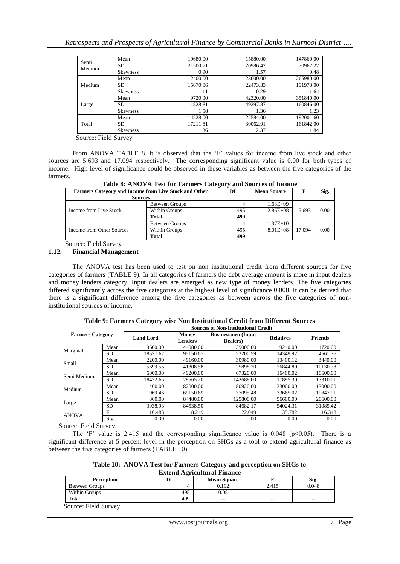|                | Mean            | 19680.00 | 15880.00 | 147860.00 |
|----------------|-----------------|----------|----------|-----------|
| Semi<br>Medium | <b>SD</b>       | 21500.71 | 20986.42 | 70967.27  |
|                | <b>Skewness</b> | 0.90     | 1.57     | 0.48      |
|                | Mean            | 12400.00 | 23000.00 | 265980.00 |
| Medium         | SD              | 15670.86 | 22473.33 | 191973.00 |
|                | <b>Skewness</b> | 1.11     | 0.29     | 1.64      |
|                | Mean            | 9720.00  | 42320.00 | 351840.00 |
| Large          | SD              | 11828.81 | 49297.87 | 160846.00 |
|                | <b>Skewness</b> | 1.58     | 1.36     | 1.23      |
|                | Mean            | 14228.00 | 22584.00 | 192001.60 |
| Total          | SD              | 17211.81 | 30062.91 | 161842.00 |
|                | <b>Skewness</b> | 1.36     | 2.37     | 1.84      |

Source: Field Survey

From ANOVA TABLE 8, it is observed that the 'F' values for income from live stock and other sources are 5.693 and 17.094 respectively. The corresponding significant value is 0.00 for both types of income. High level of significance could be observed in these variables as between the five categories of the farmers.

**Table 8: ANOVA Test for Farmers Category and Sources of Income**

| <b>Farmers Category and Income from Live Stock and Other</b> | Df                    | <b>Mean Square</b> |              | Sig.   |      |
|--------------------------------------------------------------|-----------------------|--------------------|--------------|--------|------|
| <b>Sources</b>                                               |                       |                    |              |        |      |
|                                                              | <b>Between Groups</b> |                    | $1.63E + 09$ |        |      |
| Income from Live Stock                                       | Within Groups         | 495                | $2.86E + 08$ | 5.693  | 0.00 |
|                                                              | Total                 | 499                |              |        |      |
|                                                              | <b>Between Groups</b> |                    | $1.37E+10$   |        |      |
| Income from Other Sources                                    | <b>Within Groups</b>  | 495                | $8.01E + 08$ | 17.094 | 0.00 |
|                                                              | Total                 | 499                |              |        |      |

Source: Field Survey

#### **1.12. Financial Management**

The ANOVA test has been used to test on non institutional credit from different sources for five categories of farmers (TABLE 9). In all categories of farmers the debt average amount is more in input dealers and money lenders category. Input dealers are emerged as new type of money lenders. The five categories differed significantly across the five categories at the highest level of significance 0.000. It can be derived that there is a significant difference among the five categories as between across the five categories of noninstitutional sources of income.

|                         |           |                  | <b>Sources of Non-Institutional Credit</b> |                                       |                  |                |  |  |  |  |
|-------------------------|-----------|------------------|--------------------------------------------|---------------------------------------|------------------|----------------|--|--|--|--|
| <b>Farmers Category</b> |           | <b>Land Lord</b> | <b>Money</b><br><b>Lenders</b>             | <b>Businessmen</b> (Input<br>Dealers) | <b>Relatives</b> | <b>Friends</b> |  |  |  |  |
| Marginal                | Mean      | 9600.00          | 44080.00                                   | 39000.00                              | 9240.00          | 1720.00        |  |  |  |  |
|                         | <b>SD</b> | 18527.62         | 95150.67                                   | 53200.59                              | 14349.97         | 4561.76        |  |  |  |  |
| Small                   | Mean      | 2200.00          | 49160.00                                   | 30980.00                              | 13400.12         | 3440.00        |  |  |  |  |
|                         | <b>SD</b> | 5699.55          | 41308.58                                   | 25898.20                              | 26844.80         | 10130.78       |  |  |  |  |
| Semi Medium             | Mean      | 6000.00          | 49200.00                                   | 67320.00                              | 16400.02         | 10600.00       |  |  |  |  |
|                         | <b>SD</b> | 18422.65         | 29565.20                                   | 142688.00                             | 17895.30         | 17310.01       |  |  |  |  |
| Medium                  | Mean      | 400.00           | 82000.00                                   | 80920.00                              | 33000.00         | 13000.00       |  |  |  |  |
|                         | <b>SD</b> | 1969.46          | 69150.69                                   | 37095.48                              | 33665.02         | 19847.91       |  |  |  |  |
| Large                   | Mean      | 800.00           | 84480.00                                   | 125800.00                             | 56600.00         | 20600.00       |  |  |  |  |
|                         | <b>SD</b> | 3938.93          | 84538.50                                   | 84682.17                              | 54024.31         | 31085.42       |  |  |  |  |
| <b>ANOVA</b>            | F         | 10.483           | 8.249                                      | 22.049                                | 35.782           | 16.348         |  |  |  |  |
|                         | Sig.      | 0.00             | 0.00                                       | 0.00                                  | 0.00             | 0.00           |  |  |  |  |

**Table 9: Farmers Category wise Non Institutional Credit from Different Sources**

Source: Field Survey.

The 'F' value is 2.415 and the corresponding significance value is 0.048 ( $p$  < 0.05). There is a significant difference at 5 percent level in the perception on SHGs as a tool to extend agricultural finance as between the five categories of farmers (TABLE 10).

**Table 10: ANOVA Test for Farmers Category and perception on SHGs to Extend Agricultural Finance**

| <b>Perception</b>     | Df  | <b>Mean Square</b> |                          | Sig.  |  |  |  |
|-----------------------|-----|--------------------|--------------------------|-------|--|--|--|
| <b>Between Groups</b> |     | 0.192              | 2.415                    | 0.048 |  |  |  |
| Within Groups         | 495 | 0.08               | $- -$                    | $- -$ |  |  |  |
| Total                 | 499 | $- -$              | $\overline{\phantom{m}}$ | $-$   |  |  |  |
|                       |     |                    |                          |       |  |  |  |

Source: Field Survey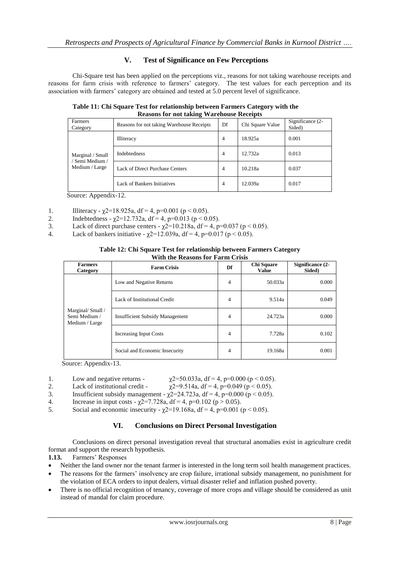# **V. Test of Significance on Few Perceptions**

Chi-Square test has been applied on the perceptions viz., reasons for not taking warehouse receipts and reasons for farm crisis with reference to farmers' category. The test values for each perception and its association with farmers" category are obtained and tested at 5.0 percent level of significance.

**Table 11: Chi Square Test for relationship between Farmers Category with the Reasons for not taking Warehouse Receipts**

| Farmers<br>Category                                 | Reasons for not taking Warehouse Receipts | Df             | Chi Square Value | Significance (2-<br>Sided) |
|-----------------------------------------------------|-------------------------------------------|----------------|------------------|----------------------------|
|                                                     | <b>Illiteracy</b>                         | $\overline{4}$ | 18.925a          | 0.001                      |
| Marginal / Small<br>Semi Medium /<br>Medium / Large | Indebtedness                              | $\overline{4}$ | 12.732a          | 0.013                      |
|                                                     | Lack of Direct Purchase Centers           | $\overline{4}$ | 10.218a          | 0.037                      |
|                                                     | Lack of Bankers Initiatives               | 4              | 12.039a          | 0.017                      |

Source: Appendix-12.

- 1. Illiteracy  $\chi$ 2=18.925a, df = 4, p=0.001 (p < 0.05).
- 2. Indebtedness  $\chi$ 2=12.732a, df = 4, p=0.013 (p < 0.05).
- 3. Lack of direct purchase centers  $\chi$ 2=10.218a, df = 4, p=0.037 (p < 0.05).
- 4. Lack of bankers initiative  $\chi$ 2=12.039a, df = 4, p=0.017 (p < 0.05).

#### **Table 12: Chi Square Test for relationship between Farmers Category With the Reasons for Farm Crisis**

| <b>Farmers</b><br>Category                         | <b>Farm Crisis</b>                     | Df             | Chi Square<br><b>Value</b> | Significance (2-<br>Sided) |
|----------------------------------------------------|----------------------------------------|----------------|----------------------------|----------------------------|
| Marginal/Small/<br>Semi Medium /<br>Medium / Large | Low and Negative Returns               | $\overline{4}$ | 50.033a                    | 0.000                      |
|                                                    | Lack of Institutional Credit           | 4              | 9.514a                     | 0.049                      |
|                                                    | <b>Insufficient Subsidy Management</b> | 4              | 24.723a                    | 0.000                      |
|                                                    | Increasing Input Costs                 | 4              | 7.728a                     | 0.102                      |
|                                                    | Social and Economic Insecurity         | 4              | 19.168a                    | 0.001                      |

Source: Appendix-13.

- 1. Low and negative returns  $\chi$ 2=50.033a, df = 4, p=0.000 (p < 0.05).
- 2. Lack of institutional credit  $\chi$ 2=9.514a, df = 4, p=0.049 (p < 0.05).
- 3. Insufficient subsidy management  $\chi^2 = 24.723a$ , df = 4, p=0.000 (p < 0.05).
- 4. Increase in input costs  $\gamma$ 2=7.728a, df = 4, p=0.102 (p > 0.05).
- 5. Social and economic insecurity  $\chi$ 2=19.168a, df = 4, p=0.001 (p < 0.05).

# **VI. Conclusions on Direct Personal Investigation**

Conclusions on direct personal investigation reveal that structural anomalies exist in agriculture credit format and support the research hypothesis.

1.13. Farmers' Responses

- Neither the land owner nor the tenant farmer is interested in the long term soil health management practices.
- The reasons for the farmers" insolvency are crop failure, irrational subsidy management, no punishment for the violation of ECA orders to input dealers, virtual disaster relief and inflation pushed poverty.
- There is no official recognition of tenancy, coverage of more crops and village should be considered as unit instead of mandal for claim procedure.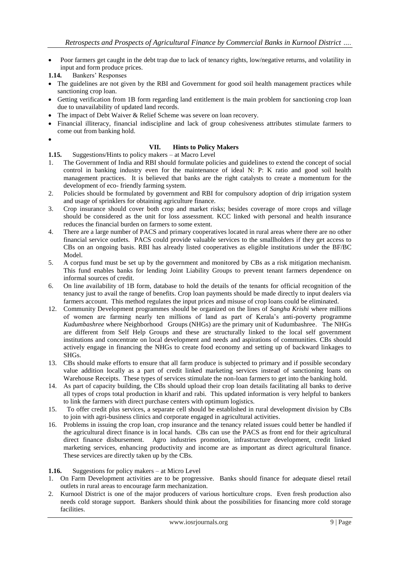- Poor farmers get caught in the debt trap due to lack of tenancy rights, low/negative returns, and volatility in input and form produce prices.
- 1.14. Bankers' Responses
- The guidelines are not given by the RBI and Government for good soil health management practices while sanctioning crop loan.
- Getting verification from 1B form regarding land entitlement is the main problem for sanctioning crop loan due to unavailability of updated land records.
- The impact of Debt Waiver & Relief Scheme was severe on loan recovery.
- Financial illiteracy, financial indiscipline and lack of group cohesiveness attributes stimulate farmers to come out from banking hold.
- $\bullet$

#### **VII. Hints to Policy Makers**

**1.15.** Suggestions/Hints to policy makers – at Macro Level

- 1. The Government of India and RBI should formulate policies and guidelines to extend the concept of social control in banking industry even for the maintenance of ideal N: P: K ratio and good soil health management practices. It is believed that banks are the right catalysts to create a momentum for the development of eco- friendly farming system.
- 2. Policies should be formulated by government and RBI for compulsory adoption of drip irrigation system and usage of sprinklers for obtaining agriculture finance.
- 3. Crop insurance should cover both crop and market risks; besides coverage of more crops and village should be considered as the unit for loss assessment. KCC linked with personal and health insurance reduces the financial burden on farmers to some extent.
- 4. There are a large number of PACS and primary cooperatives located in rural areas where there are no other financial service outlets. PACS could provide valuable services to the smallholders if they get access to CBs on an ongoing basis. RBI has already listed cooperatives as eligible institutions under the BF/BC Model.
- 5. A corpus fund must be set up by the government and monitored by CBs as a risk mitigation mechanism. This fund enables banks for lending Joint Liability Groups to prevent tenant farmers dependence on informal sources of credit.
- 6. On line availability of 1B form, database to hold the details of the tenants for official recognition of the tenancy just to avail the range of benefits. Crop loan payments should be made directly to input dealers via farmers account. This method regulates the input prices and misuse of crop loans could be eliminated.
- 12. Community Development programmes should be organized on the lines of *Sangha Krishi* where millions of women are farming nearly ten millions of land as part of Kerala"s anti-poverty programme *Kudumbashree* where Neighborhood Groups (NHGs) are the primary unit of Kudumbashree. The NHGs are different from Self Help Groups and these are structurally linked to the local self government institutions and concentrate on local development and needs and aspirations of communities. CBs should actively engage in financing the NHGs to create food economy and setting up of backward linkages to SHGs.
- 13. CBs should make efforts to ensure that all farm produce is subjected to primary and if possible secondary value addition locally as a part of credit linked marketing services instead of sanctioning loans on Warehouse Receipts. These types of services stimulate the non-loan farmers to get into the banking hold.
- 14. As part of capacity building, the CBs should upload their crop loan details facilitating all banks to derive all types of crops total production in kharif and rabi. This updated information is very helpful to bankers to link the farmers with direct purchase centers with optimum logistics.
- 15. To offer credit plus services, a separate cell should be established in rural development division by CBs to join with agri-business clinics and corporate engaged in agricultural activities.
- 16. Problems in issuing the crop loan, crop insurance and the tenancy related issues could better be handled if the agricultural direct finance is in local hands. CBs can use the PACS as front end for their agricultural direct finance disbursement. Agro industries promotion, infrastructure development, credit linked marketing services, enhancing productivity and income are as important as direct agricultural finance. These services are directly taken up by the CBs.

**1.16.** Suggestions for policy makers – at Micro Level

- 1. On Farm Development activities are to be progressive. Banks should finance for adequate diesel retail outlets in rural areas to encourage farm mechanization.
- 2. Kurnool District is one of the major producers of various horticulture crops. Even fresh production also needs cold storage support. Bankers should think about the possibilities for financing more cold storage facilities.